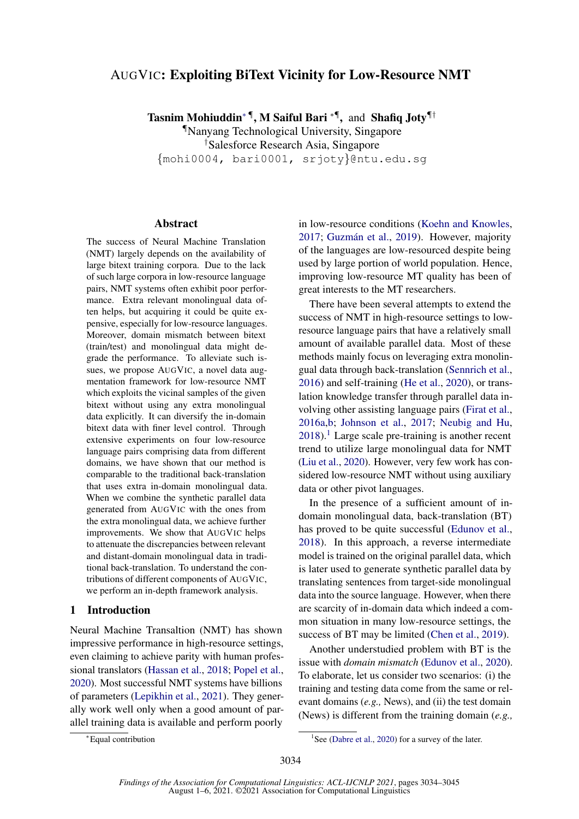# AUGVIC: Exploiting BiText Vicinity for Low-Resource NMT

Tasnim Mohiuddin<sup>∗¶</sup>, M Saiful Bari <sup>∗¶</sup>, and Shafiq Joty<sup>¶†</sup>

¶Nanyang Technological University, Singapore †Salesforce Research Asia, Singapore {mohi0004, bari0001, srjoty}@ntu.edu.sg

#### Abstract

The success of Neural Machine Translation (NMT) largely depends on the availability of large bitext training corpora. Due to the lack of such large corpora in low-resource language pairs, NMT systems often exhibit poor performance. Extra relevant monolingual data often helps, but acquiring it could be quite expensive, especially for low-resource languages. Moreover, domain mismatch between bitext (train/test) and monolingual data might degrade the performance. To alleviate such issues, we propose AUGVIC, a novel data augmentation framework for low-resource NMT which exploits the vicinal samples of the given bitext without using any extra monolingual data explicitly. It can diversify the in-domain bitext data with finer level control. Through extensive experiments on four low-resource language pairs comprising data from different domains, we have shown that our method is comparable to the traditional back-translation that uses extra in-domain monolingual data. When we combine the synthetic parallel data generated from AUGVIC with the ones from the extra monolingual data, we achieve further improvements. We show that AUGVIC helps to attenuate the discrepancies between relevant and distant-domain monolingual data in traditional back-translation. To understand the contributions of different components of AUGVIC, we perform an in-depth framework analysis.

# <span id="page-0-1"></span>1 Introduction

Neural Machine Transaltion (NMT) has shown impressive performance in high-resource settings, even claiming to achieve parity with human professional translators [\(Hassan et al.,](#page-9-0) [2018;](#page-9-0) [Popel et al.,](#page-11-0) [2020\)](#page-11-0). Most successful NMT systems have billions of parameters [\(Lepikhin et al.,](#page-10-0) [2021\)](#page-10-0). They generally work well only when a good amount of parallel training data is available and perform poorly

in low-resource conditions [\(Koehn and Knowles,](#page-10-1) [2017;](#page-10-1) Guzmán et al., [2019\)](#page-9-1). However, majority of the languages are low-resourced despite being used by large portion of world population. Hence, improving low-resource MT quality has been of great interests to the MT researchers.

There have been several attempts to extend the success of NMT in high-resource settings to lowresource language pairs that have a relatively small amount of available parallel data. Most of these methods mainly focus on leveraging extra monolingual data through back-translation [\(Sennrich et al.,](#page-11-1) [2016\)](#page-11-1) and self-training [\(He et al.,](#page-10-2) [2020\)](#page-10-2), or translation knowledge transfer through parallel data involving other assisting language pairs [\(Firat et al.,](#page-9-2) [2016a](#page-9-2)[,b;](#page-9-3) [Johnson et al.,](#page-10-3) [2017;](#page-10-3) [Neubig and Hu,](#page-10-4)  $2018$  $2018$  $2018$ .<sup>1</sup> Large scale pre-training is another recent trend to utilize large monolingual data for NMT [\(Liu et al.,](#page-10-5) [2020\)](#page-10-5). However, very few work has considered low-resource NMT without using auxiliary data or other pivot languages.

In the presence of a sufficient amount of indomain monolingual data, back-translation (BT) has proved to be quite successful [\(Edunov et al.,](#page-9-4) [2018\)](#page-9-4). In this approach, a reverse intermediate model is trained on the original parallel data, which is later used to generate synthetic parallel data by translating sentences from target-side monolingual data into the source language. However, when there are scarcity of in-domain data which indeed a common situation in many low-resource settings, the success of BT may be limited [\(Chen et al.,](#page-9-5) [2019\)](#page-9-5).

Another understudied problem with BT is the issue with *domain mismatch* [\(Edunov et al.,](#page-9-6) [2020\)](#page-9-6). To elaborate, let us consider two scenarios: (i) the training and testing data come from the same or relevant domains (*e.g.,* News), and (ii) the test domain (News) is different from the training domain (*e.g.,*

<sup>∗</sup>Equal contribution

<span id="page-0-0"></span><sup>&</sup>lt;sup>1</sup>See [\(Dabre et al.,](#page-9-7) [2020\)](#page-9-7) for a survey of the later.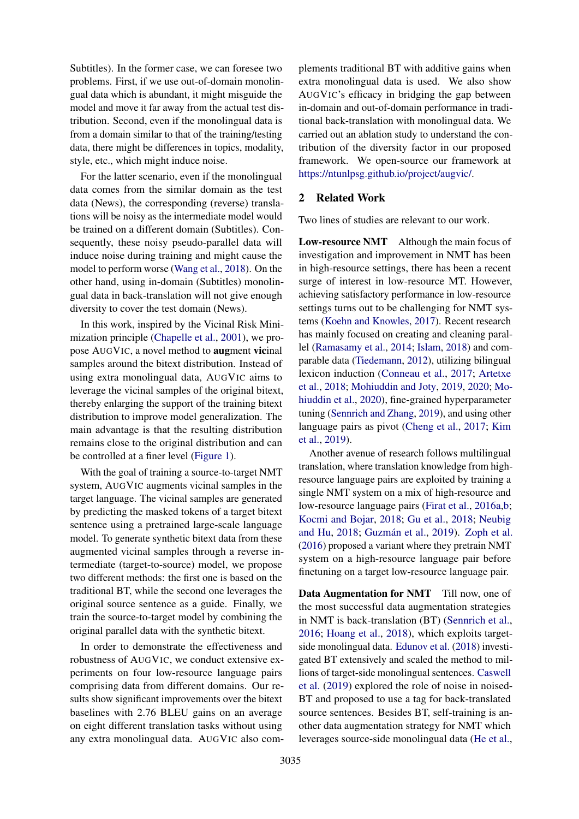Subtitles). In the former case, we can foresee two problems. First, if we use out-of-domain monolingual data which is abundant, it might misguide the model and move it far away from the actual test distribution. Second, even if the monolingual data is from a domain similar to that of the training/testing data, there might be differences in topics, modality, style, etc., which might induce noise.

For the latter scenario, even if the monolingual data comes from the similar domain as the test data (News), the corresponding (reverse) translations will be noisy as the intermediate model would be trained on a different domain (Subtitles). Consequently, these noisy pseudo-parallel data will induce noise during training and might cause the model to perform worse [\(Wang et al.,](#page-11-2) [2018\)](#page-11-2). On the other hand, using in-domain (Subtitles) monolingual data in back-translation will not give enough diversity to cover the test domain (News).

In this work, inspired by the Vicinal Risk Minimization principle [\(Chapelle et al.,](#page-9-8) [2001\)](#page-9-8), we propose AUGVIC, a novel method to augment vicinal samples around the bitext distribution. Instead of using extra monolingual data, AUGVIC aims to leverage the vicinal samples of the original bitext, thereby enlarging the support of the training bitext distribution to improve model generalization. The main advantage is that the resulting distribution remains close to the original distribution and can be controlled at a finer level [\(Figure 1\)](#page-2-0).

With the goal of training a source-to-target NMT system, AUGVIC augments vicinal samples in the target language. The vicinal samples are generated by predicting the masked tokens of a target bitext sentence using a pretrained large-scale language model. To generate synthetic bitext data from these augmented vicinal samples through a reverse intermediate (target-to-source) model, we propose two different methods: the first one is based on the traditional BT, while the second one leverages the original source sentence as a guide. Finally, we train the source-to-target model by combining the original parallel data with the synthetic bitext.

In order to demonstrate the effectiveness and robustness of AUGVIC, we conduct extensive experiments on four low-resource language pairs comprising data from different domains. Our results show significant improvements over the bitext baselines with 2.76 BLEU gains on an average on eight different translation tasks without using any extra monolingual data. AUGVIC also complements traditional BT with additive gains when extra monolingual data is used. We also show AUGVIC's efficacy in bridging the gap between in-domain and out-of-domain performance in traditional back-translation with monolingual data. We carried out an ablation study to understand the contribution of the diversity factor in our proposed framework. We open-source our framework at [https://ntunlpsg.github.io/project/augvic/.](https://ntunlpsg.github.io/project/augvic/)

# 2 Related Work

Two lines of studies are relevant to our work.

Low-resource NMT Although the main focus of investigation and improvement in NMT has been in high-resource settings, there has been a recent surge of interest in low-resource MT. However, achieving satisfactory performance in low-resource settings turns out to be challenging for NMT systems [\(Koehn and Knowles,](#page-10-1) [2017\)](#page-10-1). Recent research has mainly focused on creating and cleaning parallel [\(Ramasamy et al.,](#page-11-3) [2014;](#page-11-3) [Islam,](#page-10-6) [2018\)](#page-10-6) and comparable data [\(Tiedemann,](#page-11-4) [2012\)](#page-11-4), utilizing bilingual lexicon induction [\(Conneau et al.,](#page-9-9) [2017;](#page-9-9) [Artetxe](#page-8-0) [et al.,](#page-8-0) [2018;](#page-8-0) [Mohiuddin and Joty,](#page-10-7) [2019,](#page-10-7) [2020;](#page-10-8) [Mo](#page-10-9)[hiuddin et al.,](#page-10-9) [2020\)](#page-10-9), fine-grained hyperparameter tuning [\(Sennrich and Zhang,](#page-11-5) [2019\)](#page-11-5), and using other language pairs as pivot [\(Cheng et al.,](#page-9-10) [2017;](#page-9-10) [Kim](#page-10-10) [et al.,](#page-10-10) [2019\)](#page-10-10).

Another avenue of research follows multilingual translation, where translation knowledge from highresource language pairs are exploited by training a single NMT system on a mix of high-resource and low-resource language pairs [\(Firat et al.,](#page-9-2) [2016a,](#page-9-2)[b;](#page-9-3) [Kocmi and Bojar,](#page-10-11) [2018;](#page-10-11) [Gu et al.,](#page-9-11) [2018;](#page-9-11) [Neubig](#page-10-4) [and Hu,](#page-10-4) [2018;](#page-10-4) Guzmán et al., [2019\)](#page-9-1). [Zoph et al.](#page-11-6) [\(2016\)](#page-11-6) proposed a variant where they pretrain NMT system on a high-resource language pair before finetuning on a target low-resource language pair.

Data Augmentation for NMT Till now, one of the most successful data augmentation strategies in NMT is back-translation (BT) [\(Sennrich et al.,](#page-11-1) [2016;](#page-11-1) [Hoang et al.,](#page-10-12) [2018\)](#page-10-12), which exploits targetside monolingual data. [Edunov et al.](#page-9-4) [\(2018\)](#page-9-4) investigated BT extensively and scaled the method to millions of target-side monolingual sentences. [Caswell](#page-9-12) [et al.](#page-9-12) [\(2019\)](#page-9-12) explored the role of noise in noised-BT and proposed to use a tag for back-translated source sentences. Besides BT, self-training is another data augmentation strategy for NMT which leverages source-side monolingual data [\(He et al.,](#page-10-2)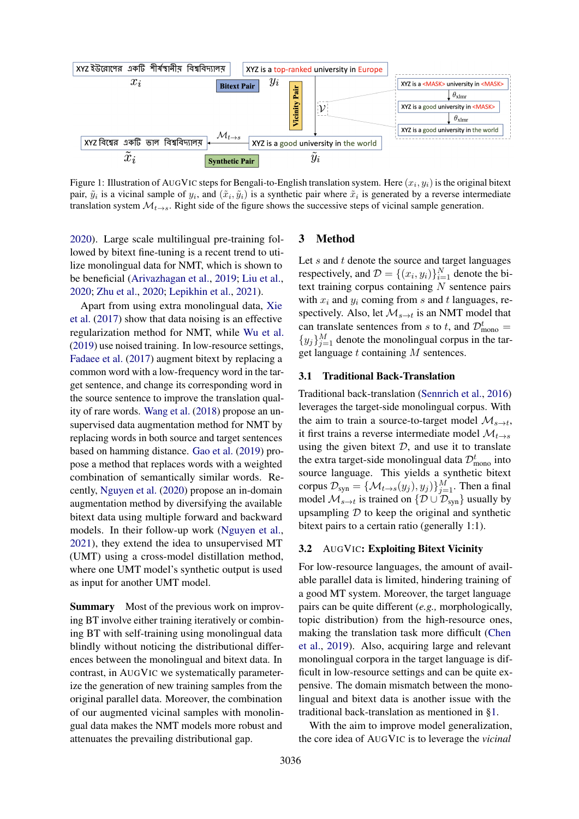<span id="page-2-0"></span>

Figure 1: Illustration of AUGVIC steps for Bengali-to-English translation system. Here  $(x_i, y_i)$  is the original bitext pair,  $\tilde{y}_i$  is a vicinal sample of  $y_i$ , and  $(\tilde{x}_i, \tilde{y}_i)$  is a synthetic pair where  $\tilde{x}_i$  is generated by a reverse intermediate translation system  $\mathcal{M}_{t\to s}$ . Right side of the figure shows the successive steps of vicinal sample generation.

[2020\)](#page-10-2). Large scale multilingual pre-training followed by bitext fine-tuning is a recent trend to utilize monolingual data for NMT, which is shown to be beneficial [\(Arivazhagan et al.,](#page-8-1) [2019;](#page-8-1) [Liu et al.,](#page-10-5) [2020;](#page-10-5) [Zhu et al.,](#page-11-7) [2020;](#page-11-7) [Lepikhin et al.,](#page-10-0) [2021\)](#page-10-0).

Apart from using extra monolingual data, [Xie](#page-11-8) [et al.](#page-11-8) [\(2017\)](#page-11-8) show that data noising is an effective regularization method for NMT, while [Wu et al.](#page-11-9) [\(2019\)](#page-11-9) use noised training. In low-resource settings, [Fadaee et al.](#page-9-13) [\(2017\)](#page-9-13) augment bitext by replacing a common word with a low-frequency word in the target sentence, and change its corresponding word in the source sentence to improve the translation quality of rare words. [Wang et al.](#page-11-2) [\(2018\)](#page-11-2) propose an unsupervised data augmentation method for NMT by replacing words in both source and target sentences based on hamming distance. [Gao et al.](#page-9-14) [\(2019\)](#page-9-14) propose a method that replaces words with a weighted combination of semantically similar words. Recently, [Nguyen et al.](#page-10-13) [\(2020\)](#page-10-13) propose an in-domain augmentation method by diversifying the available bitext data using multiple forward and backward models. In their follow-up work [\(Nguyen et al.,](#page-10-14) [2021\)](#page-10-14), they extend the idea to unsupervised MT (UMT) using a cross-model distillation method, where one UMT model's synthetic output is used as input for another UMT model.

Summary Most of the previous work on improving BT involve either training iteratively or combining BT with self-training using monolingual data blindly without noticing the distributional differences between the monolingual and bitext data. In contrast, in AUGVIC we systematically parameterize the generation of new training samples from the original parallel data. Moreover, the combination of our augmented vicinal samples with monolingual data makes the NMT models more robust and attenuates the prevailing distributional gap.

# 3 Method

Let  $s$  and  $t$  denote the source and target languages respectively, and  $\mathcal{D} = \{(x_i, y_i)\}_{i=1}^N$  denote the bitext training corpus containing  $N$  sentence pairs with  $x_i$  and  $y_i$  coming from s and t languages, respectively. Also, let  $\mathcal{M}_{s\to t}$  is an NMT model that can translate sentences from s to t, and  $\mathcal{D}_{\text{mono}}^t =$  ${y_j}_{j=1}^M$  denote the monolingual corpus in the target language  $t$  containing  $M$  sentences.

#### <span id="page-2-1"></span>3.1 Traditional Back-Translation

Traditional back-translation [\(Sennrich et al.,](#page-11-1) [2016\)](#page-11-1) leverages the target-side monolingual corpus. With the aim to train a source-to-target model  $\mathcal{M}_{s \to t}$ , it first trains a reverse intermediate model  $\mathcal{M}_{t\rightarrow s}$ using the given bitext  $D$ , and use it to translate the extra target-side monolingual data  $\mathcal{D}_{\text{mono}}^t$  into source language. This yields a synthetic bitext corpus  $\mathcal{D}_{syn} = {\{\mathcal{M}_{t \to s}(y_j), y_j)\}}_{j=1}^M$ . Then a final model  $\mathcal{M}_{s\to t}$  is trained on  $\{\mathcal{D}\cup\mathcal{D}_{syn}\}\$  usually by upsampling  $D$  to keep the original and synthetic bitext pairs to a certain ratio (generally 1:1).

#### 3.2 AUGVIC: Exploiting Bitext Vicinity

For low-resource languages, the amount of available parallel data is limited, hindering training of a good MT system. Moreover, the target language pairs can be quite different (*e.g.,* morphologically, topic distribution) from the high-resource ones, making the translation task more difficult [\(Chen](#page-9-5) [et al.,](#page-9-5) [2019\)](#page-9-5). Also, acquiring large and relevant monolingual corpora in the target language is difficult in low-resource settings and can be quite expensive. The domain mismatch between the monolingual and bitext data is another issue with the traditional back-translation as mentioned in [§1.](#page-0-1)

With the aim to improve model generalization, the core idea of AUGVIC is to leverage the *vicinal*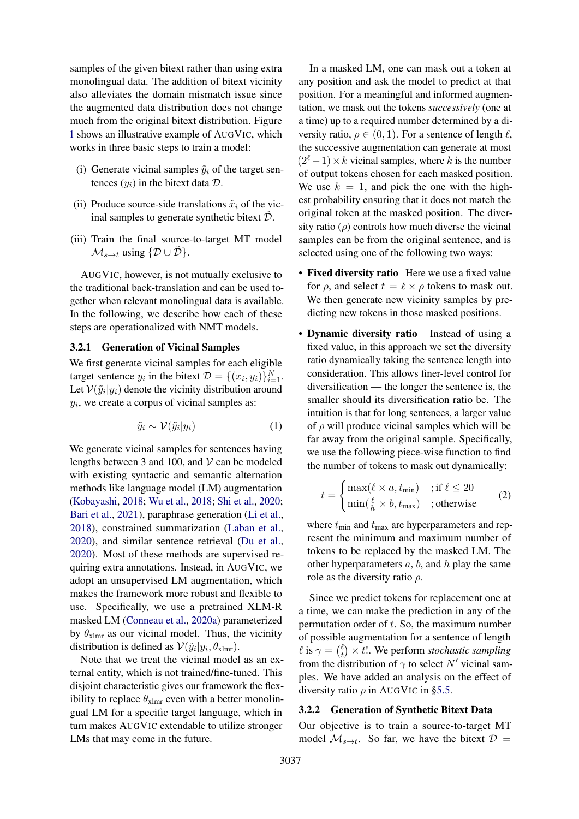samples of the given bitext rather than using extra monolingual data. The addition of bitext vicinity also alleviates the domain mismatch issue since the augmented data distribution does not change much from the original bitext distribution. Figure [1](#page-2-0) shows an illustrative example of AUGVIC, which works in three basic steps to train a model:

- (i) Generate vicinal samples  $\tilde{y}_i$  of the target sentences  $(y_i)$  in the bitext data  $\mathcal{D}$ .
- (ii) Produce source-side translations  $\tilde{x}_i$  of the vicinal samples to generate synthetic bitext  $\tilde{\mathcal{D}}$ .
- (iii) Train the final source-to-target MT model  $\mathcal{M}_{s\to t}$  using  $\{\mathcal{D} \cup \mathcal{D}\}.$

AUGVIC, however, is not mutually exclusive to the traditional back-translation and can be used together when relevant monolingual data is available. In the following, we describe how each of these steps are operationalized with NMT models.

# <span id="page-3-0"></span>3.2.1 Generation of Vicinal Samples

We first generate vicinal samples for each eligible target sentence  $y_i$  in the bitext  $\mathcal{D} = \{(x_i, y_i)\}_{i=1}^N$ . Let  $V(\tilde{y}_i|y_i)$  denote the vicinity distribution around  $y_i$ , we create a corpus of vicinal samples as:

$$
\tilde{y}_i \sim \mathcal{V}(\tilde{y}_i | y_i) \tag{1}
$$

We generate vicinal samples for sentences having lengths between 3 and 100, and  $V$  can be modeled with existing syntactic and semantic alternation methods like language model (LM) augmentation [\(Kobayashi,](#page-10-15) [2018;](#page-10-15) [Wu et al.,](#page-11-10) [2018;](#page-11-10) [Shi et al.,](#page-11-11) [2020;](#page-11-11) [Bari et al.,](#page-8-2) [2021\)](#page-8-2), paraphrase generation [\(Li et al.,](#page-10-16) [2018\)](#page-10-16), constrained summarization [\(Laban et al.,](#page-10-17) [2020\)](#page-10-17), and similar sentence retrieval [\(Du et al.,](#page-9-15) [2020\)](#page-9-15). Most of these methods are supervised requiring extra annotations. Instead, in AUGVIC, we adopt an unsupervised LM augmentation, which makes the framework more robust and flexible to use. Specifically, we use a pretrained XLM-R masked LM [\(Conneau et al.,](#page-9-16) [2020a\)](#page-9-16) parameterized by  $\theta_{\text{xlmr}}$  as our vicinal model. Thus, the vicinity distribution is defined as  $V(\tilde{y}_i|y_i, \theta_{\text{xlmr}})$ .

Note that we treat the vicinal model as an external entity, which is not trained/fine-tuned. This disjoint characteristic gives our framework the flexibility to replace  $\theta_{\text{xlmr}}$  even with a better monolingual LM for a specific target language, which in turn makes AUGVIC extendable to utilize stronger LMs that may come in the future.

In a masked LM, one can mask out a token at any position and ask the model to predict at that position. For a meaningful and informed augmentation, we mask out the tokens *successively* (one at a time) up to a required number determined by a diversity ratio,  $\rho \in (0, 1)$ . For a sentence of length  $\ell$ , the successive augmentation can generate at most  $(2^{\ell} - 1) \times k$  vicinal samples, where k is the number of output tokens chosen for each masked position. We use  $k = 1$ , and pick the one with the highest probability ensuring that it does not match the original token at the masked position. The diversity ratio  $(\rho)$  controls how much diverse the vicinal samples can be from the original sentence, and is selected using one of the following two ways:

- Fixed diversity ratio Here we use a fixed value for  $\rho$ , and select  $t = \ell \times \rho$  tokens to mask out. We then generate new vicinity samples by predicting new tokens in those masked positions.
- Dynamic diversity ratio Instead of using a fixed value, in this approach we set the diversity ratio dynamically taking the sentence length into consideration. This allows finer-level control for diversification — the longer the sentence is, the smaller should its diversification ratio be. The intuition is that for long sentences, a larger value of  $\rho$  will produce vicinal samples which will be far away from the original sample. Specifically, we use the following piece-wise function to find the number of tokens to mask out dynamically:

<span id="page-3-1"></span>
$$
t = \begin{cases} \max(\ell \times a, t_{\min}) & \text{if } \ell \le 20\\ \min(\frac{\ell}{h} \times b, t_{\max}) & \text{;otherwise} \end{cases} \tag{2}
$$

where  $t_{\text{min}}$  and  $t_{\text{max}}$  are hyperparameters and represent the minimum and maximum number of tokens to be replaced by the masked LM. The other hyperparameters  $a, b$ , and  $h$  play the same role as the diversity ratio  $\rho$ .

Since we predict tokens for replacement one at a time, we can make the prediction in any of the permutation order of t. So, the maximum number of possible augmentation for a sentence of length  $\ell$  is  $\gamma = \binom{\ell}{t}$  $t(t) \times t!$ . We perform *stochastic sampling* from the distribution of  $\gamma$  to select N' vicinal samples. We have added an analysis on the effect of diversity ratio  $\rho$  in AUGVIC in [§5.5.](#page-8-3)

#### <span id="page-3-2"></span>3.2.2 Generation of Synthetic Bitext Data

Our objective is to train a source-to-target MT model  $\mathcal{M}_{s\to t}$ . So far, we have the bitext  $\mathcal{D} =$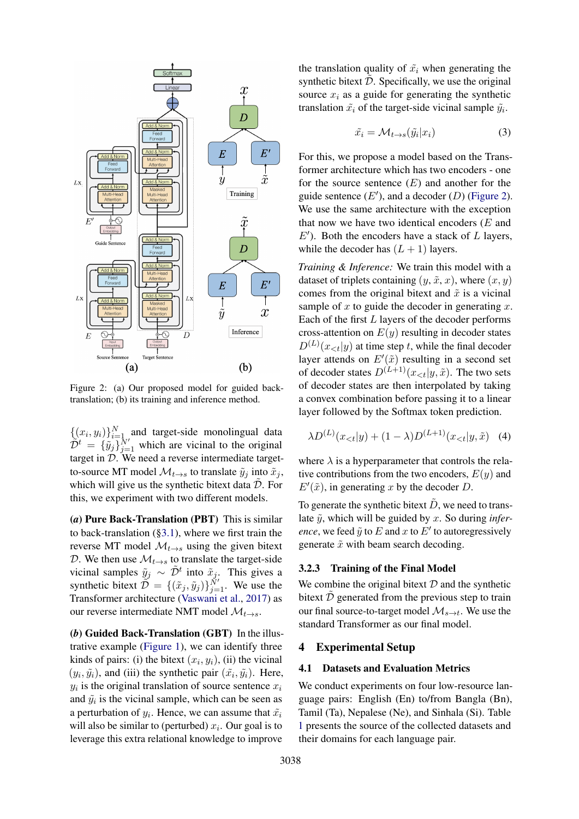<span id="page-4-0"></span>

Figure 2: (a) Our proposed model for guided backtranslation; (b) its training and inference method.

 $\{(x_i, y_i)\}_{i=1}^N$  and target-side monolingual data  $\tilde{\mathcal{D}}^t = {\tilde{y}_j \tilde{y}_j = 1 \overline{y}_j}$  which are vicinal to the original target in  $\mathcal{D}$ . We need a reverse intermediate targetto-source MT model  $\mathcal{M}_{t\to s}$  to translate  $\tilde{y}_j$  into  $\tilde{x}_j$ , which will give us the synthetic bitext data  $\tilde{\mathcal{D}}$ . For this, we experiment with two different models.

(*a*) Pure Back-Translation (PBT) This is similar to back-translation ([§3.1\)](#page-2-1), where we first train the reverse MT model  $\mathcal{M}_{t\rightarrow s}$  using the given bitext D. We then use  $\mathcal{M}_{t\rightarrow s}$  to translate the target-side vicinal samples  $\tilde{y}_j \sim \tilde{D}^t$  into  $\tilde{x}_j$ . This gives a synthetic bitext  $\widetilde{\mathcal{D}} = \{(\tilde{x}_j, \tilde{y}_j)\}_{j=1}^{\tilde{N}'}$ . We use the Transformer architecture [\(Vaswani et al.,](#page-11-12) [2017\)](#page-11-12) as our reverse intermediate NMT model  $\mathcal{M}_{t\rightarrow s}$ .

(*b*) Guided Back-Translation (GBT) In the illustrative example [\(Figure 1\)](#page-2-0), we can identify three kinds of pairs: (i) the bitext  $(x_i, y_i)$ , (ii) the vicinal  $(y_i, \tilde{y}_i)$ , and (iii) the synthetic pair  $(\tilde{x}_i, \tilde{y}_i)$ . Here,  $y_i$  is the original translation of source sentence  $x_i$ and  $\tilde{y}_i$  is the vicinal sample, which can be seen as a perturbation of  $y_i$ . Hence, we can assume that  $\tilde{x_i}$ will also be similar to (perturbed)  $x_i$ . Our goal is to leverage this extra relational knowledge to improve

the translation quality of  $\tilde{x}_i$  when generating the synthetic bitext  $\tilde{\mathcal{D}}$ . Specifically, we use the original source  $x_i$  as a guide for generating the synthetic translation  $\tilde{x}_i$  of the target-side vicinal sample  $\tilde{y}_i$ .

$$
\tilde{x_i} = \mathcal{M}_{t \to s}(\tilde{y_i}|x_i) \tag{3}
$$

For this, we propose a model based on the Transformer architecture which has two encoders - one for the source sentence  $(E)$  and another for the guide sentence  $(E')$ , and a decoder  $(D)$  [\(Figure 2\)](#page-4-0). We use the same architecture with the exception that now we have two identical encoders  $(E \text{ and } E)$  $E'$ ). Both the encoders have a stack of  $L$  layers, while the decoder has  $(L + 1)$  layers.

*Training & Inference:* We train this model with a dataset of triplets containing  $(y, \tilde{x}, x)$ , where  $(x, y)$ comes from the original bitext and  $\tilde{x}$  is a vicinal sample of  $x$  to guide the decoder in generating  $x$ . Each of the first  $L$  layers of the decoder performs cross-attention on  $E(y)$  resulting in decoder states  $D^{(L)}(x_{< t}|y)$  at time step t, while the final decoder layer attends on  $E'(\tilde{x})$  resulting in a second set of decoder states  $D^{(L+1)}(x_{< t}|y, \tilde{x})$ . The two sets of decoder states are then interpolated by taking a convex combination before passing it to a linear layer followed by the Softmax token prediction.

<span id="page-4-1"></span>
$$
\lambda D^{(L)}(x_{< t}|y) + (1 - \lambda)D^{(L+1)}(x_{< t}|y, \tilde{x}) \quad (4)
$$

where  $\lambda$  is a hyperparameter that controls the relative contributions from the two encoders,  $E(y)$  and  $E'(\tilde{x})$ , in generating x by the decoder D.

To generate the synthetic bitext  $\tilde{D}$ , we need to translate  $\tilde{v}$ , which will be guided by x. So during *inference*, we feed  $\tilde{y}$  to E and x to E' to autoregressively generate  $\tilde{x}$  with beam search decoding.

# 3.2.3 Training of the Final Model

We combine the original bitext  $D$  and the synthetic bitext  $\tilde{\mathcal{D}}$  generated from the previous step to train our final source-to-target model  $\mathcal{M}_{s\to t}$ . We use the standard Transformer as our final model.

# 4 Experimental Setup

# <span id="page-4-2"></span>4.1 Datasets and Evaluation Metrics

We conduct experiments on four low-resource language pairs: English (En) to/from Bangla (Bn), Tamil (Ta), Nepalese (Ne), and Sinhala (Si). Table [1](#page-5-0) presents the source of the collected datasets and their domains for each language pair.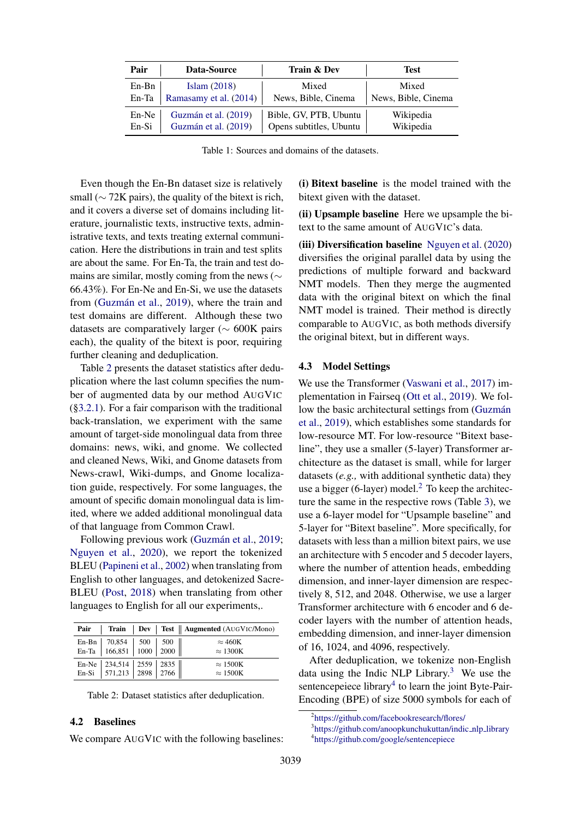<span id="page-5-0"></span>

| Pair    | Data-Source            | Train & Dev             | Test                |
|---------|------------------------|-------------------------|---------------------|
| $En-Bn$ | Islam $(2018)$         | Mixed                   | Mixed               |
| En-Ta   | Ramasamy et al. (2014) | News, Bible, Cinema     | News, Bible, Cinema |
| En-Ne   | Guzmán et al. (2019)   | Bible, GV, PTB, Ubuntu  | Wikipedia           |
| En-Si   | Guzmán et al. (2019)   | Opens subtitles, Ubuntu | Wikipedia           |

Table 1: Sources and domains of the datasets.

Even though the En-Bn dataset size is relatively small ( $\sim$  72K pairs), the quality of the bitext is rich, and it covers a diverse set of domains including literature, journalistic texts, instructive texts, administrative texts, and texts treating external communication. Here the distributions in train and test splits are about the same. For En-Ta, the train and test domains are similar, mostly coming from the news (∼ 66.43%). For En-Ne and En-Si, we use the datasets from (Guzmán et al., [2019\)](#page-9-1), where the train and test domains are different. Although these two datasets are comparatively larger ( $\sim 600K$  pairs each), the quality of the bitext is poor, requiring further cleaning and deduplication.

Table [2](#page-5-1) presents the dataset statistics after deduplication where the last column specifies the number of augmented data by our method AUGVIC ([§3.2.1\)](#page-3-0). For a fair comparison with the traditional back-translation, we experiment with the same amount of target-side monolingual data from three domains: news, wiki, and gnome. We collected and cleaned News, Wiki, and Gnome datasets from News-crawl, Wiki-dumps, and Gnome localization guide, respectively. For some languages, the amount of specific domain monolingual data is limited, where we added additional monolingual data of that language from Common Crawl.

Following previous work (Guzmán et al., [2019;](#page-9-1) [Nguyen et al.,](#page-10-13) [2020\)](#page-10-13), we report the tokenized BLEU [\(Papineni et al.,](#page-11-13) [2002\)](#page-11-13) when translating from English to other languages, and detokenized Sacre-BLEU [\(Post,](#page-11-14) [2018\)](#page-11-14) when translating from other languages to English for all our experiments,.

<span id="page-5-1"></span>

|                                                    |  | Pair   Train   Dev   Test    Augmented (AUGVIC/Mono) |
|----------------------------------------------------|--|------------------------------------------------------|
| En-Bn 70,854 500 500<br>En-Ta 166,851 1000 2000    |  | $\approx$ 460K                                       |
|                                                    |  | $\approx 1300K$                                      |
| En-Ne 234,514 2559 2835<br>En-Si 571,213 2898 2766 |  | $\approx 1500K$                                      |
|                                                    |  | $\approx 1500K$                                      |

Table 2: Dataset statistics after deduplication.

# 4.2 Baselines

We compare AUGVIC with the following baselines:

(i) Bitext baseline is the model trained with the bitext given with the dataset.

(ii) Upsample baseline Here we upsample the bitext to the same amount of AUGVIC's data.

(iii) Diversification baseline [Nguyen et al.](#page-10-13) [\(2020\)](#page-10-13) diversifies the original parallel data by using the predictions of multiple forward and backward NMT models. Then they merge the augmented data with the original bitext on which the final NMT model is trained. Their method is directly comparable to AUGVIC, as both methods diversify the original bitext, but in different ways.

## 4.3 Model Settings

We use the Transformer [\(Vaswani et al.,](#page-11-12) [2017\)](#page-11-12) implementation in Fairseq [\(Ott et al.,](#page-11-15) [2019\)](#page-11-15). We follow the basic architectural settings from (Guzmán [et al.,](#page-9-1) [2019\)](#page-9-1), which establishes some standards for low-resource MT. For low-resource "Bitext baseline", they use a smaller (5-layer) Transformer architecture as the dataset is small, while for larger datasets (*e.g.,* with additional synthetic data) they use a bigger (6-layer) model.<sup>[2](#page-5-2)</sup> To keep the architecture the same in the respective rows (Table [3\)](#page-6-0), we use a 6-layer model for "Upsample baseline" and 5-layer for "Bitext baseline". More specifically, for datasets with less than a million bitext pairs, we use an architecture with 5 encoder and 5 decoder layers, where the number of attention heads, embedding dimension, and inner-layer dimension are respectively 8, 512, and 2048. Otherwise, we use a larger Transformer architecture with 6 encoder and 6 decoder layers with the number of attention heads, embedding dimension, and inner-layer dimension of 16, 1024, and 4096, respectively.

After deduplication, we tokenize non-English data using the Indic NLP Library.<sup>[3](#page-5-3)</sup> We use the sentencepeiece library<sup>[4](#page-5-4)</sup> to learn the joint Byte-Pair-Encoding (BPE) of size 5000 symbols for each of

<span id="page-5-2"></span><sup>2</sup> <https://github.com/facebookresearch/flores/>

<span id="page-5-4"></span><span id="page-5-3"></span><sup>&</sup>lt;sup>3</sup>[https://github.com/anoopkunchukuttan/indic](https://github.com/anoopkunchukuttan/indic_nlp_library)\_nlp\_library 4 <https://github.com/google/sentencepiece>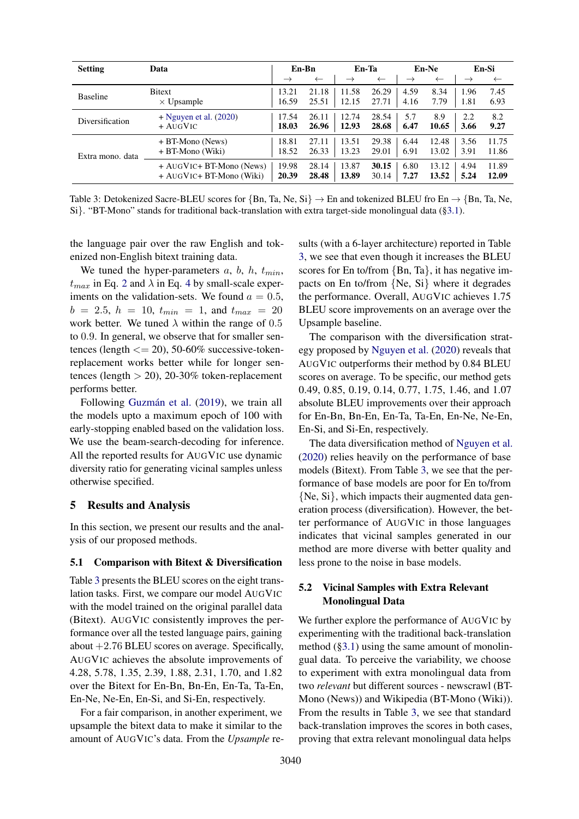<span id="page-6-0"></span>

| <b>Setting</b>   | Data                       | En-Bn         |              | En-Ta         |              | En-Ne         |              | En-Si         |              |
|------------------|----------------------------|---------------|--------------|---------------|--------------|---------------|--------------|---------------|--------------|
|                  |                            | $\rightarrow$ | $\leftarrow$ | $\rightarrow$ | $\leftarrow$ | $\rightarrow$ | $\leftarrow$ | $\rightarrow$ | $\leftarrow$ |
| <b>Baseline</b>  | <b>Bitext</b>              | 13.21         | 21.18        | 11.58         | 26.29        | 4.59          | 8.34         | 1.96          | 7.45         |
|                  | $\times$ Upsample          | 16.59         | 25.51        | 12.15         | 27.71        | 4.16          | 7.79         | 1.81          | 6.93         |
| Diversification  | $+$ Nguyen et al. (2020)   | 17.54         | 26.11        | 12.74         | 28.54        | 5.7           | 8.9          | 2.2           | 8.2          |
|                  | $+$ AugVic                 | 18.03         | 26.96        | 12.93         | 28.68        | 6.47          | 10.65        | 3.66          | 9.27         |
| Extra mono, data | $+ B$ T-Mono (News)        | 18.81         | 27.11        | 13.51         | 29.38        | 6.44          | 12.48        | 3.56          | 11.75        |
|                  | + BT-Mono (Wiki)           | 18.52         | 26.33        | 13.23         | 29.01        | 6.91          | 13.02        | 3.91          | 11.86        |
|                  | $+$ AUGVIC+ BT-Mono (News) | 19.98         | 28.14        | 13.87         | 30.15        | 6.80          | 13.12        | 4.94          | 11.89        |
|                  | + AUGVIC+ BT-Mono (Wiki)   | 20.39         | 28.48        | 13.89         | 30.14        | 7.27          | 13.52        | 5.24          | 12.09        |

Table 3: Detokenized Sacre-BLEU scores for {Bn, Ta, Ne, Si}  $\rightarrow$  En and tokenized BLEU fro En  $\rightarrow$  {Bn, Ta, Ne, Si}. "BT-Mono" stands for traditional back-translation with extra target-side monolingual data ([§3.1\)](#page-2-1).

the language pair over the raw English and tokenized non-English bitext training data.

We tuned the hyper-parameters  $a, b, h, t_{min}$ ,  $t_{max}$  in Eq. [2](#page-3-1) and  $\lambda$  in Eq. [4](#page-4-1) by small-scale experiments on the validation-sets. We found  $a = 0.5$ ,  $b = 2.5, h = 10, t_{min} = 1,$  and  $t_{max} = 20$ work better. We tuned  $\lambda$  within the range of 0.5 to 0.9. In general, we observe that for smaller sentences (length  $\langle 200, 50.60\%$  successive-tokenreplacement works better while for longer sentences (length  $> 20$ ), 20-30% token-replacement performs better.

Following Guzmán et al. [\(2019\)](#page-9-1), we train all the models upto a maximum epoch of 100 with early-stopping enabled based on the validation loss. We use the beam-search-decoding for inference. All the reported results for AUGVIC use dynamic diversity ratio for generating vicinal samples unless otherwise specified.

## 5 Results and Analysis

In this section, we present our results and the analysis of our proposed methods.

#### 5.1 Comparison with Bitext & Diversification

Table [3](#page-6-0) presents the BLEU scores on the eight translation tasks. First, we compare our model AUGVIC with the model trained on the original parallel data (Bitext). AUGVIC consistently improves the performance over all the tested language pairs, gaining about  $+2.76$  BLEU scores on average. Specifically, AUGVIC achieves the absolute improvements of 4.28, 5.78, 1.35, 2.39, 1.88, 2.31, 1.70, and 1.82 over the Bitext for En-Bn, Bn-En, En-Ta, Ta-En, En-Ne, Ne-En, En-Si, and Si-En, respectively.

For a fair comparison, in another experiment, we upsample the bitext data to make it similar to the amount of AUGVIC's data. From the *Upsample* results (with a 6-layer architecture) reported in Table [3,](#page-6-0) we see that even though it increases the BLEU scores for En to/from  ${Bn, Ta}$ , it has negative impacts on En to/from {Ne, Si} where it degrades the performance. Overall, AUGVIC achieves 1.75 BLEU score improvements on an average over the Upsample baseline.

The comparison with the diversification strategy proposed by [Nguyen et al.](#page-10-13) [\(2020\)](#page-10-13) reveals that AUGVIC outperforms their method by 0.84 BLEU scores on average. To be specific, our method gets 0.49, 0.85, 0.19, 0.14, 0.77, 1.75, 1.46, and 1.07 absolute BLEU improvements over their approach for En-Bn, Bn-En, En-Ta, Ta-En, En-Ne, Ne-En, En-Si, and Si-En, respectively.

The data diversification method of [Nguyen et al.](#page-10-13) [\(2020\)](#page-10-13) relies heavily on the performance of base models (Bitext). From Table [3,](#page-6-0) we see that the performance of base models are poor for En to/from {Ne, Si}, which impacts their augmented data generation process (diversification). However, the better performance of AUGVIC in those languages indicates that vicinal samples generated in our method are more diverse with better quality and less prone to the noise in base models.

# 5.2 Vicinal Samples with Extra Relevant Monolingual Data

We further explore the performance of AUGVIC by experimenting with the traditional back-translation method  $(\S 3.1)$  using the same amount of monolingual data. To perceive the variability, we choose to experiment with extra monolingual data from two *relevant* but different sources - newscrawl (BT-Mono (News)) and Wikipedia (BT-Mono (Wiki)). From the results in Table [3,](#page-6-0) we see that standard back-translation improves the scores in both cases, proving that extra relevant monolingual data helps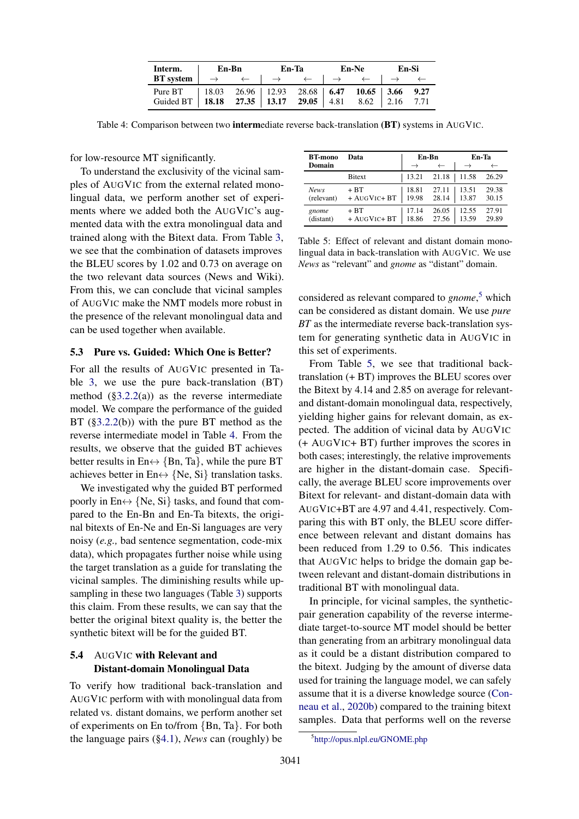| Interm.                                                                                                                                                              | En-Bn |  | En-Ta |  | En-Ne |  | En-Si |  |
|----------------------------------------------------------------------------------------------------------------------------------------------------------------------|-------|--|-------|--|-------|--|-------|--|
| <b>BT</b> system $\vert \rightarrow \leftarrow \vert \rightarrow \leftarrow \vert \rightarrow \leftarrow \vert \rightarrow \leftarrow \vert \rightarrow \rightarrow$ |       |  |       |  |       |  |       |  |
| Pure BT   18.03 26.96   12.93 28.68   6.47 10.65   3.66 9.27                                                                                                         |       |  |       |  |       |  |       |  |
| Guided BT   18.18 27.35   13.17 29.05   4.81 8.62   2.16 7.71                                                                                                        |       |  |       |  |       |  |       |  |

<span id="page-7-0"></span>Table 4: Comparison between two **interme**diate reverse back-translation (BT) systems in AUGVIC.

for low-resource MT significantly.

To understand the exclusivity of the vicinal samples of AUGVIC from the external related monolingual data, we perform another set of experiments where we added both the AUGVIC's augmented data with the extra monolingual data and trained along with the Bitext data. From Table [3,](#page-6-0) we see that the combination of datasets improves the BLEU scores by 1.02 and 0.73 on average on the two relevant data sources (News and Wiki). From this, we can conclude that vicinal samples of AUGVIC make the NMT models more robust in the presence of the relevant monolingual data and can be used together when available.

#### 5.3 Pure vs. Guided: Which One is Better?

For all the results of AUGVIC presented in Table [3,](#page-6-0) we use the pure back-translation (BT) method  $(\S3.2.2(a))$  as the reverse intermediate model. We compare the performance of the guided BT ([§3.2.2\(](#page-4-0)b)) with the pure BT method as the reverse intermediate model in Table [4.](#page-7-0) From the results, we observe that the guided BT achieves better results in En $\leftrightarrow$  {Bn, Ta}, while the pure BT achieves better in En $\leftrightarrow$  {Ne, Si} translation tasks.

We investigated why the guided BT performed poorly in En $\leftrightarrow$  {Ne, Si} tasks, and found that compared to the En-Bn and En-Ta bitexts, the original bitexts of En-Ne and En-Si languages are very noisy (*e.g.,* bad sentence segmentation, code-mix data), which propagates further noise while using the target translation as a guide for translating the vicinal samples. The diminishing results while upsampling in these two languages (Table [3\)](#page-6-0) supports this claim. From these results, we can say that the better the original bitext quality is, the better the synthetic bitext will be for the guided BT.

# 5.4 AUGVIC with Relevant and Distant-domain Monolingual Data

To verify how traditional back-translation and AUGVIC perform with with monolingual data from related vs. distant domains, we perform another set of experiments on En to/from {Bn, Ta}. For both the language pairs ([§4.1\)](#page-4-2), *News* can (roughly) be

<span id="page-7-2"></span>

| <b>BT-mono</b>            | Data                   |                | En-Bn          | En-Ta          |                |  |
|---------------------------|------------------------|----------------|----------------|----------------|----------------|--|
| Domain                    |                        | $\rightarrow$  | $\leftarrow$   |                |                |  |
|                           | <b>Bitext</b>          | 13.21          | 21.18          | 11.58          | 26.29          |  |
| <b>News</b><br>(relevant) | $+ BT$<br>+ AUGVIC+ BT | 18.81<br>19.98 | 27.11<br>28.14 | 13.51<br>13.87 | 29.38<br>30.15 |  |
| gnome<br>(distant)        | $+ BT$<br>+ AUGVIC+ BT | 17.14<br>18.86 | 26.05<br>27.56 | 12.55<br>13.59 | 27.91<br>29.89 |  |

Table 5: Effect of relevant and distant domain monolingual data in back-translation with AUGVIC. We use *News* as "relevant" and *gnome* as "distant" domain.

considered as relevant compared to *gnome*, [5](#page-7-1) which can be considered as distant domain. We use *pure BT* as the intermediate reverse back-translation system for generating synthetic data in AUGVIC in this set of experiments.

From Table [5,](#page-7-2) we see that traditional backtranslation (+ BT) improves the BLEU scores over the Bitext by 4.14 and 2.85 on average for relevantand distant-domain monolingual data, respectively, yielding higher gains for relevant domain, as expected. The addition of vicinal data by AUGVIC (+ AUGVIC+ BT) further improves the scores in both cases; interestingly, the relative improvements are higher in the distant-domain case. Specifically, the average BLEU score improvements over Bitext for relevant- and distant-domain data with AUGVIC+BT are 4.97 and 4.41, respectively. Comparing this with BT only, the BLEU score difference between relevant and distant domains has been reduced from 1.29 to 0.56. This indicates that AUGVIC helps to bridge the domain gap between relevant and distant-domain distributions in traditional BT with monolingual data.

In principle, for vicinal samples, the syntheticpair generation capability of the reverse intermediate target-to-source MT model should be better than generating from an arbitrary monolingual data as it could be a distant distribution compared to the bitext. Judging by the amount of diverse data used for training the language model, we can safely assume that it is a diverse knowledge source [\(Con](#page-9-17)[neau et al.,](#page-9-17) [2020b\)](#page-9-17) compared to the training bitext samples. Data that performs well on the reverse

<span id="page-7-1"></span><sup>5</sup> <http://opus.nlpl.eu/GNOME.php>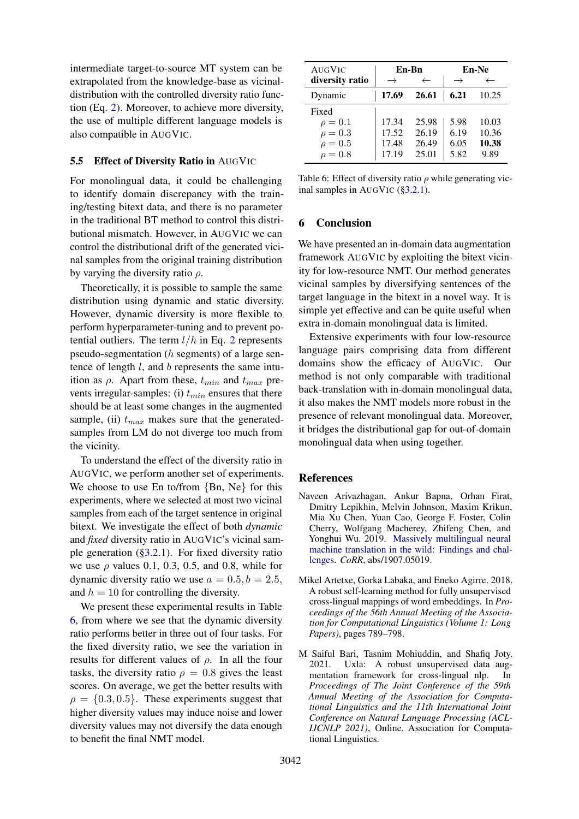intermediate target-to-source MT system can be extrapolated from the knowledge-base as vicinaldistribution with the controlled diversity ratio function (Eq. [2\)](#page-3-1). Moreover, to achieve more diversity, the use of multiple different language models is also compatible in AUGVIC.

#### <span id="page-8-3"></span>5.5 Effect of Diversity Ratio in AUGVIC

For monolingual data, it could be challenging to identify domain discrepancy with the training/testing bitext data, and there is no parameter in the traditional BT method to control this distributional mismatch. However, in AUGVIC we can control the distributional drift of the generated vicinal samples from the original training distribution by varying the diversity ratio  $\rho$ .

Theoretically, it is possible to sample the same distribution using dynamic and static diversity. However, dynamic diversity is more flexible to perform hyperparameter-tuning and to prevent potential outliers. The term  $l/h$  in Eq. [2](#page-3-1) represents pseudo-segmentation (h segments) of a large sentence of length l, and b represents the same intuition as  $\rho$ . Apart from these,  $t_{min}$  and  $t_{max}$  prevents irregular-samples: (i)  $t_{min}$  ensures that there should be at least some changes in the augmented sample, (ii)  $t_{max}$  makes sure that the generatedsamples from LM do not diverge too much from the vicinity.

To understand the effect of the diversity ratio in AUGVIC, we perform another set of experiments. We choose to use En to/from {Bn, Ne} for this experiments, where we selected at most two vicinal samples from each of the target sentence in original bitext. We investigate the effect of both *dynamic* and *fixed* diversity ratio in AUGVIC's vicinal sample generation ([§3.2.1\)](#page-3-0). For fixed diversity ratio we use  $\rho$  values 0.1, 0.3, 0.5, and 0.8, while for dynamic diversity ratio we use  $a = 0.5, b = 2.5$ , and  $h = 10$  for controlling the diversity.

We present these experimental results in Table [6,](#page-8-4) from where we see that the dynamic diversity ratio performs better in three out of four tasks. For the fixed diversity ratio, we see the variation in results for different values of  $\rho$ . In all the four tasks, the diversity ratio  $\rho = 0.8$  gives the least scores. On average, we get the better results with  $\rho = \{0.3, 0.5\}$ . These experiments suggest that higher diversity values may induce noise and lower diversity values may not diversify the data enough to benefit the final NMT model.

<span id="page-8-4"></span>

| AUGVIC                                                                |                                  | En-Bn                            | En-Ne                        |                                 |  |
|-----------------------------------------------------------------------|----------------------------------|----------------------------------|------------------------------|---------------------------------|--|
| diversity ratio                                                       |                                  | $\leftarrow$                     |                              |                                 |  |
| Dynamic                                                               | 17.69                            | 26.61                            | 6.21                         | 10.25                           |  |
| Fixed<br>$\rho = 0.1$<br>$\rho = 0.3$<br>$\rho = 0.5$<br>$\rho = 0.8$ | 17.34<br>17.52<br>17.48<br>17.19 | 25.98<br>26.19<br>26.49<br>25.01 | 5.98<br>6.19<br>6.05<br>5.82 | 10.03<br>10.36<br>10.38<br>9.89 |  |

Table 6: Effect of diversity ratio  $\rho$  while generating vicinal samples in AUGVIC ([§3.2.1\)](#page-3-0).

# 6 Conclusion

We have presented an in-domain data augmentation framework AUGVIC by exploiting the bitext vicinity for low-resource NMT. Our method generates vicinal samples by diversifying sentences of the target language in the bitext in a novel way. It is simple yet effective and can be quite useful when extra in-domain monolingual data is limited.

Extensive experiments with four low-resource language pairs comprising data from different domains show the efficacy of AUGVIC. Our method is not only comparable with traditional back-translation with in-domain monolingual data, it also makes the NMT models more robust in the presence of relevant monolingual data. Moreover, it bridges the distributional gap for out-of-domain monolingual data when using together.

## References

- <span id="page-8-1"></span>Naveen Arivazhagan, Ankur Bapna, Orhan Firat, Dmitry Lepikhin, Melvin Johnson, Maxim Krikun, Mia Xu Chen, Yuan Cao, George F. Foster, Colin Cherry, Wolfgang Macherey, Zhifeng Chen, and Yonghui Wu. 2019. [Massively multilingual neural](http://arxiv.org/abs/1907.05019) [machine translation in the wild: Findings and chal](http://arxiv.org/abs/1907.05019)[lenges.](http://arxiv.org/abs/1907.05019) *CoRR*, abs/1907.05019.
- <span id="page-8-0"></span>Mikel Artetxe, Gorka Labaka, and Eneko Agirre. 2018. A robust self-learning method for fully unsupervised cross-lingual mappings of word embeddings. In *Proceedings of the 56th Annual Meeting of the Association for Computational Linguistics (Volume 1: Long Papers)*, pages 789–798.
- <span id="page-8-2"></span>M Saiful Bari, Tasnim Mohiuddin, and Shafiq Joty. 2021. Uxla: A robust unsupervised data augmentation framework for cross-lingual nlp. In *Proceedings of The Joint Conference of the 59th Annual Meeting of the Association for Computational Linguistics and the 11th International Joint Conference on Natural Language Processing (ACL-IJCNLP 2021)*, Online. Association for Computational Linguistics.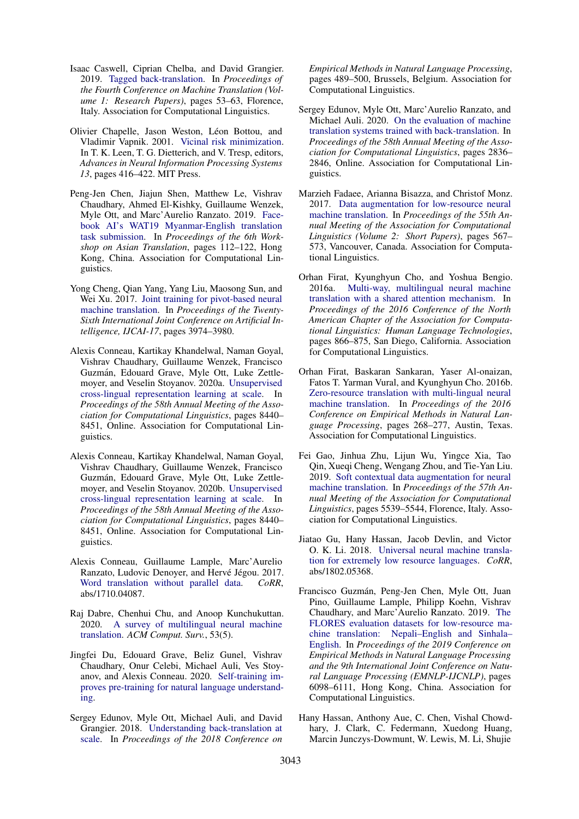- <span id="page-9-12"></span>Isaac Caswell, Ciprian Chelba, and David Grangier. 2019. [Tagged back-translation.](https://doi.org/10.18653/v1/W19-5206) In *Proceedings of the Fourth Conference on Machine Translation (Volume 1: Research Papers)*, pages 53–63, Florence, Italy. Association for Computational Linguistics.
- <span id="page-9-8"></span>Olivier Chapelle, Jason Weston, Léon Bottou, and Vladimir Vapnik. 2001. [Vicinal risk minimization.](http://papers.nips.cc/paper/1876-vicinal-risk-minimization.pdf) In T. K. Leen, T. G. Dietterich, and V. Tresp, editors, *Advances in Neural Information Processing Systems 13*, pages 416–422. MIT Press.
- <span id="page-9-5"></span>Peng-Jen Chen, Jiajun Shen, Matthew Le, Vishrav Chaudhary, Ahmed El-Kishky, Guillaume Wenzek, Myle Ott, and Marc'Aurelio Ranzato. 2019. [Face](https://doi.org/10.18653/v1/D19-5213)[book AI's WAT19 Myanmar-English translation](https://doi.org/10.18653/v1/D19-5213) [task submission.](https://doi.org/10.18653/v1/D19-5213) In *Proceedings of the 6th Workshop on Asian Translation*, pages 112–122, Hong Kong, China. Association for Computational Linguistics.
- <span id="page-9-10"></span>Yong Cheng, Qian Yang, Yang Liu, Maosong Sun, and Wei Xu. 2017. [Joint training for pivot-based neural](https://doi.org/10.24963/ijcai.2017/555) [machine translation.](https://doi.org/10.24963/ijcai.2017/555) In *Proceedings of the Twenty-Sixth International Joint Conference on Artificial Intelligence, IJCAI-17*, pages 3974–3980.
- <span id="page-9-16"></span>Alexis Conneau, Kartikay Khandelwal, Naman Goyal, Vishrav Chaudhary, Guillaume Wenzek, Francisco Guzman, Edouard Grave, Myle Ott, Luke Zettle- ´ moyer, and Veselin Stoyanov. 2020a. [Unsupervised](https://doi.org/10.18653/v1/2020.acl-main.747) [cross-lingual representation learning at scale.](https://doi.org/10.18653/v1/2020.acl-main.747) In *Proceedings of the 58th Annual Meeting of the Association for Computational Linguistics*, pages 8440– 8451, Online. Association for Computational Linguistics.
- <span id="page-9-17"></span>Alexis Conneau, Kartikay Khandelwal, Naman Goyal, Vishrav Chaudhary, Guillaume Wenzek, Francisco Guzman, Edouard Grave, Myle Ott, Luke Zettle- ´ moyer, and Veselin Stoyanov. 2020b. [Unsupervised](https://doi.org/10.18653/v1/2020.acl-main.747) [cross-lingual representation learning at scale.](https://doi.org/10.18653/v1/2020.acl-main.747) In *Proceedings of the 58th Annual Meeting of the Association for Computational Linguistics*, pages 8440– 8451, Online. Association for Computational Linguistics.
- <span id="page-9-9"></span>Alexis Conneau, Guillaume Lample, Marc'Aurelio Ranzato, Ludovic Denoyer, and Hervé Jégou. 2017. [Word translation without parallel data.](http://arxiv.org/abs/1710.04087) *CoRR*, abs/1710.04087.
- <span id="page-9-7"></span>Raj Dabre, Chenhui Chu, and Anoop Kunchukuttan. 2020. [A survey of multilingual neural machine](https://doi.org/10.1145/3406095) [translation.](https://doi.org/10.1145/3406095) *ACM Comput. Surv.*, 53(5).
- <span id="page-9-15"></span>Jingfei Du, Edouard Grave, Beliz Gunel, Vishrav Chaudhary, Onur Celebi, Michael Auli, Ves Stoyanov, and Alexis Conneau. 2020. [Self-training im](http://arxiv.org/abs/2010.02194)[proves pre-training for natural language understand](http://arxiv.org/abs/2010.02194)[ing.](http://arxiv.org/abs/2010.02194)
- <span id="page-9-4"></span>Sergey Edunov, Myle Ott, Michael Auli, and David Grangier. 2018. [Understanding back-translation at](https://doi.org/10.18653/v1/D18-1045) [scale.](https://doi.org/10.18653/v1/D18-1045) In *Proceedings of the 2018 Conference on*

*Empirical Methods in Natural Language Processing*, pages 489–500, Brussels, Belgium. Association for Computational Linguistics.

- <span id="page-9-6"></span>Sergey Edunov, Myle Ott, Marc'Aurelio Ranzato, and Michael Auli. 2020. [On the evaluation of machine](https://doi.org/10.18653/v1/2020.acl-main.253) [translation systems trained with back-translation.](https://doi.org/10.18653/v1/2020.acl-main.253) In *Proceedings of the 58th Annual Meeting of the Association for Computational Linguistics*, pages 2836– 2846, Online. Association for Computational Linguistics.
- <span id="page-9-13"></span>Marzieh Fadaee, Arianna Bisazza, and Christof Monz. 2017. [Data augmentation for low-resource neural](https://doi.org/10.18653/v1/P17-2090) [machine translation.](https://doi.org/10.18653/v1/P17-2090) In *Proceedings of the 55th Annual Meeting of the Association for Computational Linguistics (Volume 2: Short Papers)*, pages 567– 573, Vancouver, Canada. Association for Computational Linguistics.
- <span id="page-9-2"></span>Orhan Firat, Kyunghyun Cho, and Yoshua Bengio. 2016a. [Multi-way, multilingual neural machine](https://doi.org/10.18653/v1/N16-1101) [translation with a shared attention mechanism.](https://doi.org/10.18653/v1/N16-1101) In *Proceedings of the 2016 Conference of the North American Chapter of the Association for Computational Linguistics: Human Language Technologies*, pages 866–875, San Diego, California. Association for Computational Linguistics.
- <span id="page-9-3"></span>Orhan Firat, Baskaran Sankaran, Yaser Al-onaizan, Fatos T. Yarman Vural, and Kyunghyun Cho. 2016b. [Zero-resource translation with multi-lingual neural](https://doi.org/10.18653/v1/D16-1026) [machine translation.](https://doi.org/10.18653/v1/D16-1026) In *Proceedings of the 2016 Conference on Empirical Methods in Natural Language Processing*, pages 268–277, Austin, Texas. Association for Computational Linguistics.
- <span id="page-9-14"></span>Fei Gao, Jinhua Zhu, Lijun Wu, Yingce Xia, Tao Qin, Xueqi Cheng, Wengang Zhou, and Tie-Yan Liu. 2019. [Soft contextual data augmentation for neural](https://doi.org/10.18653/v1/P19-1555) [machine translation.](https://doi.org/10.18653/v1/P19-1555) In *Proceedings of the 57th Annual Meeting of the Association for Computational Linguistics*, pages 5539–5544, Florence, Italy. Association for Computational Linguistics.
- <span id="page-9-11"></span>Jiatao Gu, Hany Hassan, Jacob Devlin, and Victor O. K. Li. 2018. [Universal neural machine transla](http://arxiv.org/abs/1802.05368)[tion for extremely low resource languages.](http://arxiv.org/abs/1802.05368) *CoRR*, abs/1802.05368.
- <span id="page-9-1"></span>Francisco Guzmán, Peng-Jen Chen, Myle Ott, Juan Pino, Guillaume Lample, Philipp Koehn, Vishrav Chaudhary, and Marc'Aurelio Ranzato. 2019. [The](https://doi.org/10.18653/v1/D19-1632) [FLORES evaluation datasets for low-resource ma](https://doi.org/10.18653/v1/D19-1632)[chine translation: Nepali–English and Sinhala–](https://doi.org/10.18653/v1/D19-1632) [English.](https://doi.org/10.18653/v1/D19-1632) In *Proceedings of the 2019 Conference on Empirical Methods in Natural Language Processing and the 9th International Joint Conference on Natural Language Processing (EMNLP-IJCNLP)*, pages 6098–6111, Hong Kong, China. Association for Computational Linguistics.
- <span id="page-9-0"></span>Hany Hassan, Anthony Aue, C. Chen, Vishal Chowdhary, J. Clark, C. Federmann, Xuedong Huang, Marcin Junczys-Dowmunt, W. Lewis, M. Li, Shujie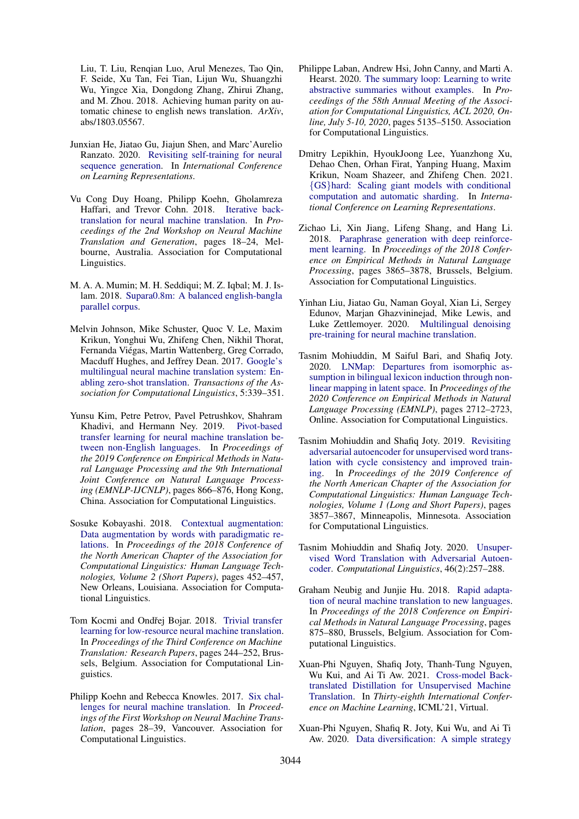Liu, T. Liu, Renqian Luo, Arul Menezes, Tao Qin, F. Seide, Xu Tan, Fei Tian, Lijun Wu, Shuangzhi Wu, Yingce Xia, Dongdong Zhang, Zhirui Zhang, and M. Zhou. 2018. Achieving human parity on automatic chinese to english news translation. *ArXiv*, abs/1803.05567.

- <span id="page-10-2"></span>Junxian He, Jiatao Gu, Jiajun Shen, and Marc'Aurelio Ranzato. 2020. [Revisiting self-training for neural](https://openreview.net/forum?id=SJgdnAVKDH) [sequence generation.](https://openreview.net/forum?id=SJgdnAVKDH) In *International Conference on Learning Representations*.
- <span id="page-10-12"></span>Vu Cong Duy Hoang, Philipp Koehn, Gholamreza Haffari, and Trevor Cohn. 2018. [Iterative back](https://doi.org/10.18653/v1/W18-2703)[translation for neural machine translation.](https://doi.org/10.18653/v1/W18-2703) In *Proceedings of the 2nd Workshop on Neural Machine Translation and Generation*, pages 18–24, Melbourne, Australia. Association for Computational Linguistics.
- <span id="page-10-6"></span>M. A. A. Mumin; M. H. Seddiqui; M. Z. Iqbal; M. J. Islam. 2018. [Supara0.8m: A balanced english-bangla](https://doi.org/10.21227/gz0b-5p24) [parallel corpus.](https://doi.org/10.21227/gz0b-5p24)
- <span id="page-10-3"></span>Melvin Johnson, Mike Schuster, Quoc V. Le, Maxim Krikun, Yonghui Wu, Zhifeng Chen, Nikhil Thorat, Fernanda Viegas, Martin Wattenberg, Greg Corrado, ´ Macduff Hughes, and Jeffrey Dean. 2017. [Google's](https://doi.org/10.1162/tacl_a_00065) [multilingual neural machine translation system: En](https://doi.org/10.1162/tacl_a_00065)[abling zero-shot translation.](https://doi.org/10.1162/tacl_a_00065) *Transactions of the Association for Computational Linguistics*, 5:339–351.
- <span id="page-10-10"></span>Yunsu Kim, Petre Petrov, Pavel Petrushkov, Shahram Khadivi, and Hermann Ney. 2019. [Pivot-based](https://doi.org/10.18653/v1/D19-1080) [transfer learning for neural machine translation be](https://doi.org/10.18653/v1/D19-1080)[tween non-English languages.](https://doi.org/10.18653/v1/D19-1080) In *Proceedings of the 2019 Conference on Empirical Methods in Natural Language Processing and the 9th International Joint Conference on Natural Language Processing (EMNLP-IJCNLP)*, pages 866–876, Hong Kong, China. Association for Computational Linguistics.
- <span id="page-10-15"></span>Sosuke Kobayashi. 2018. [Contextual augmentation:](https://doi.org/10.18653/v1/N18-2072) [Data augmentation by words with paradigmatic re](https://doi.org/10.18653/v1/N18-2072)[lations.](https://doi.org/10.18653/v1/N18-2072) In *Proceedings of the 2018 Conference of the North American Chapter of the Association for Computational Linguistics: Human Language Technologies, Volume 2 (Short Papers)*, pages 452–457, New Orleans, Louisiana. Association for Computational Linguistics.
- <span id="page-10-11"></span>Tom Kocmi and Ondřej Bojar. 2018. [Trivial transfer](https://doi.org/10.18653/v1/W18-6325) [learning for low-resource neural machine translation.](https://doi.org/10.18653/v1/W18-6325) In *Proceedings of the Third Conference on Machine Translation: Research Papers*, pages 244–252, Brussels, Belgium. Association for Computational Linguistics.
- <span id="page-10-1"></span>Philipp Koehn and Rebecca Knowles. 2017. [Six chal](https://doi.org/10.18653/v1/W17-3204)[lenges for neural machine translation.](https://doi.org/10.18653/v1/W17-3204) In *Proceedings of the First Workshop on Neural Machine Translation*, pages 28–39, Vancouver. Association for Computational Linguistics.
- <span id="page-10-17"></span>Philippe Laban, Andrew Hsi, John Canny, and Marti A. Hearst. 2020. [The summary loop: Learning to write](https://www.aclweb.org/anthology/2020.acl-main.460/) [abstractive summaries without examples.](https://www.aclweb.org/anthology/2020.acl-main.460/) In *Proceedings of the 58th Annual Meeting of the Association for Computational Linguistics, ACL 2020, Online, July 5-10, 2020*, pages 5135–5150. Association for Computational Linguistics.
- <span id="page-10-0"></span>Dmitry Lepikhin, HyoukJoong Lee, Yuanzhong Xu, Dehao Chen, Orhan Firat, Yanping Huang, Maxim Krikun, Noam Shazeer, and Zhifeng Chen. 2021. {GS}[hard: Scaling giant models with conditional](https://openreview.net/forum?id=qrwe7XHTmYb) [computation and automatic sharding.](https://openreview.net/forum?id=qrwe7XHTmYb) In *International Conference on Learning Representations*.
- <span id="page-10-16"></span>Zichao Li, Xin Jiang, Lifeng Shang, and Hang Li. 2018. [Paraphrase generation with deep reinforce](https://doi.org/10.18653/v1/D18-1421)[ment learning.](https://doi.org/10.18653/v1/D18-1421) In *Proceedings of the 2018 Conference on Empirical Methods in Natural Language Processing*, pages 3865–3878, Brussels, Belgium. Association for Computational Linguistics.
- <span id="page-10-5"></span>Yinhan Liu, Jiatao Gu, Naman Goyal, Xian Li, Sergey Edunov, Marjan Ghazvininejad, Mike Lewis, and Luke Zettlemoyer. 2020. [Multilingual denoising](http://arxiv.org/abs/2001.08210) [pre-training for neural machine translation.](http://arxiv.org/abs/2001.08210)
- <span id="page-10-9"></span>Tasnim Mohiuddin, M Saiful Bari, and Shafiq Joty. 2020. [LNMap: Departures from isomorphic as](https://doi.org/10.18653/v1/2020.emnlp-main.215)[sumption in bilingual lexicon induction through non](https://doi.org/10.18653/v1/2020.emnlp-main.215)[linear mapping in latent space.](https://doi.org/10.18653/v1/2020.emnlp-main.215) In *Proceedings of the 2020 Conference on Empirical Methods in Natural Language Processing (EMNLP)*, pages 2712–2723, Online. Association for Computational Linguistics.
- <span id="page-10-7"></span>Tasnim Mohiuddin and Shafiq Joty. 2019. [Revisiting](https://doi.org/10.18653/v1/N19-1386) [adversarial autoencoder for unsupervised word trans](https://doi.org/10.18653/v1/N19-1386)[lation with cycle consistency and improved train](https://doi.org/10.18653/v1/N19-1386)[ing.](https://doi.org/10.18653/v1/N19-1386) In *Proceedings of the 2019 Conference of the North American Chapter of the Association for Computational Linguistics: Human Language Technologies, Volume 1 (Long and Short Papers)*, pages 3857–3867, Minneapolis, Minnesota. Association for Computational Linguistics.
- <span id="page-10-8"></span>Tasnim Mohiuddin and Shafiq Joty. 2020. [Unsuper](https://doi.org/10.1162/coli_a_00374)[vised Word Translation with Adversarial Autoen](https://doi.org/10.1162/coli_a_00374)[coder.](https://doi.org/10.1162/coli_a_00374) *Computational Linguistics*, 46(2):257–288.
- <span id="page-10-4"></span>Graham Neubig and Junjie Hu. 2018. [Rapid adapta](https://doi.org/10.18653/v1/D18-1103)[tion of neural machine translation to new languages.](https://doi.org/10.18653/v1/D18-1103) In *Proceedings of the 2018 Conference on Empirical Methods in Natural Language Processing*, pages 875–880, Brussels, Belgium. Association for Computational Linguistics.
- <span id="page-10-14"></span>Xuan-Phi Nguyen, Shafiq Joty, Thanh-Tung Nguyen, Wu Kui, and Ai Ti Aw. 2021. [Cross-model Back](https://arxiv.org/abs/2006.02163)[translated Distillation for Unsupervised Machine](https://arxiv.org/abs/2006.02163) [Translation.](https://arxiv.org/abs/2006.02163) In *Thirty-eighth International Conference on Machine Learning*, ICML'21, Virtual.
- <span id="page-10-13"></span>Xuan-Phi Nguyen, Shafiq R. Joty, Kui Wu, and Ai Ti Aw. 2020. [Data diversification: A simple strategy](https://proceedings.neurips.cc/paper/2020/hash/7221e5c8ec6b08ef6d3f9ff3ce6eb1d1-Abstract.html)